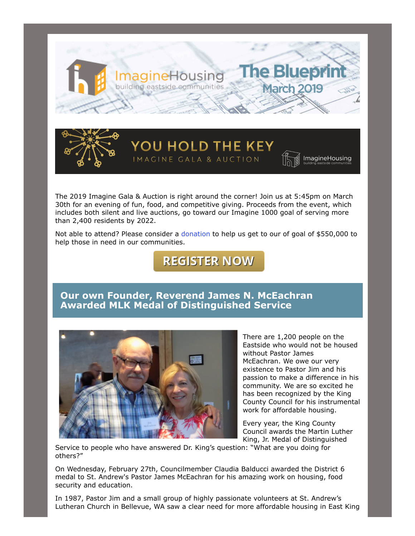

The 2019 Imagine Gala & Auction is right around the corner! Join us at 5:45pm on March 30th for an evening of fun, food, and competitive giving. Proceeds from the event, which includes both silent and live auctions, go toward our Imagine 1000 goal of serving more than 2,400 residents by 2022.

YOU HOLD THE KEY

IMACINE GALA & AUCTION

Not able to attend? Please consider a [donation](https://one.bidpal.net/imaginehousing/browse/donation(details:item/1)) to help us get to our of goal of \$550,000 to help those in need in our communities.

# **REGISTER NOW**

## **Our own Founder, Reverend James N. McEachran Awarded MLK Medal of Distinguished Service**



There are 1,200 people on the Eastside who would not be housed without Pastor James McEachran. We owe our very existence to Pastor Jim and his passion to make a difference in his community. We are so excited he has been recognized by the King County Council for his instrumental work for affordable housing.

**ImagineHousing** 

Every year, the King County Council awards the Martin Luther King, Jr. Medal of Distinguished

Service to people who have answered Dr. King's question: "What are you doing for others?"

On Wednesday, February 27th, Councilmember Claudia Balducci awarded the District 6 medal to St. Andrew's Pastor James McEachran for his amazing work on housing, food security and education.

In 1987, Pastor Jim and a small group of highly passionate volunteers at St. Andrew's Lutheran Church in Bellevue, WA saw a clear need for more affordable housing in East King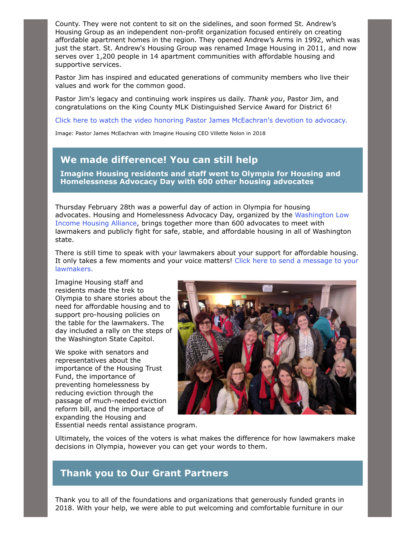County. They were not content to sit on the sidelines, and soon formed St. Andrew's Housing Group as an independent non-profit organization focused entirely on creating affordable apartment homes in the region. They opened Andrew's Arms in 1992, which was just the start. St. Andrew's Housing Group was renamed Image Housing in 2011, and now serves over 1,200 people in 14 apartment communities with affordable housing and supportive services.

Pastor Jim has inspired and educated generations of community members who live their values and work for the common good.

Pastor Jim's legacy and continuing work inspires us daily. *Thank you*, Pastor Jim, and congratulations on the King County MLK Distinguished Service Award for District 6!

[Click here to watch the video honoring Pastor James McEachran's devotion to advocacy.](https://www.youtube.com/watch?v=auqQVMhGcPU)

Image: Pastor James McEachran with Imagine Housing CEO Villette Nolon in 2018

## **We made difference! You can still help**

**Imagine Housing residents and staff went to Olympia for Housing and Homelessness Advocacy Day with 600 other housing advocates** 

Thursday February 28th was a powerful day of action in Olympia for housing [advocates. Housing and Homelessness Advocacy Day, organized by the Washington Low](https://www.wliha.org/housing-and-homelessness-advocacy-day) Income Housing Alliance, brings together more than 600 advocates to meet with lawmakers and publicly fight for safe, stable, and affordable housing in all of Washington state.

There is still time to speak with your lawmakers about your support for affordable housing. [It only takes a few moments and your voice matters! Click here to send a message to your](https://housingconsortium.salsalabs.org/600million4homescopy1/index.html) lawmakers.

Imagine Housing staff and residents made the trek to Olympia to share stories about the need for affordable housing and to support pro-housing policies on the table for the lawmakers. The day included a rally on the steps of the Washington State Capitol.

We spoke with senators and representatives about the importance of the Housing Trust Fund, the importance of preventing homelessness by reducing eviction through the passage of much-needed eviction reform bill, and the importace of expanding the Housing and



Essential needs rental assistance program.

Ultimately, the voices of the voters is what makes the difference for how lawmakers make decisions in Olympia, however you can get your words to them.

### **Thank you to Our Grant Partners**

Thank you to all of the foundations and organizations that generously funded grants in 2018. With your help, we were able to put welcoming and comfortable furniture in our